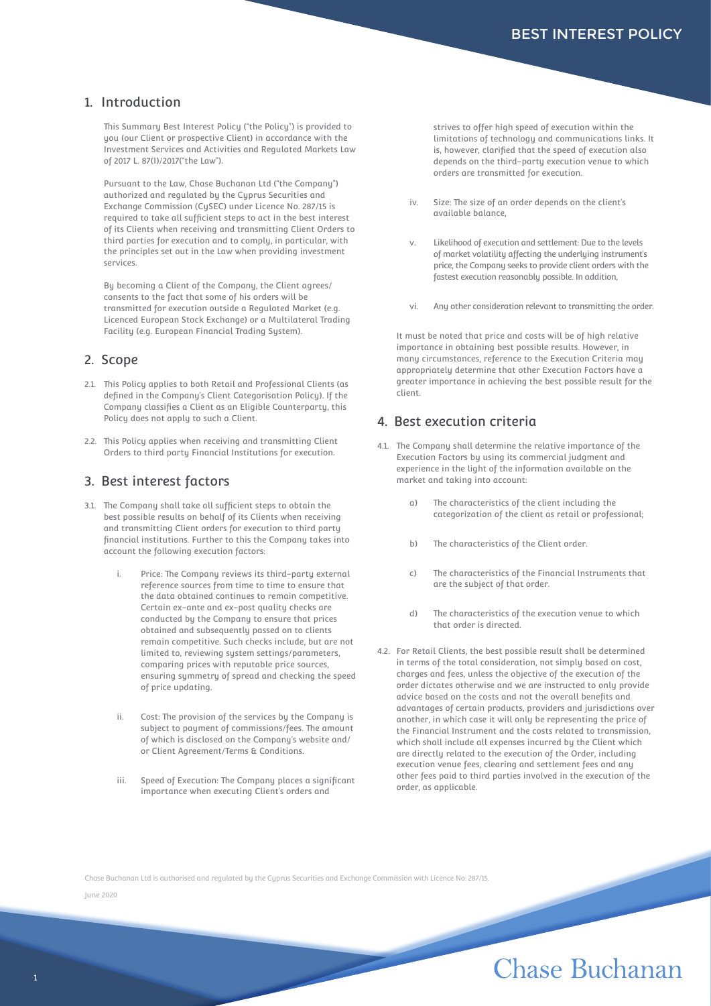## 1. Introduction

This Summary Best Interest Policy ("the Policy") is provided to you (our Client or prospective Client) in accordance with the Investment Services and Activities and Regulated Markets Law of 2017 L. 87(I)/2017("the Law").

Pursuant to the Law, Chase Buchanan Ltd ("the Company") authorized and regulated by the Cyprus Securities and Exchange Commission (CySEC) under Licence No. 287/15 is required to take all sufficient steps to act in the best interest of its Clients when receiving and transmitting Client Orders to third parties for execution and to comply, in particular, with the principles set out in the Law when providing investment services.

By becoming a Client of the Company, the Client agrees/ consents to the fact that some of his orders will be transmitted for execution outside a Regulated Market (e.g. Licenced European Stock Exchange) or a Multilateral Trading Facility (e.g. European Financial Trading System).

### 2. Scope

- 2.1. This Policy applies to both Retail and Professional Clients (as defined in the Company's Client Categorisation Policy). If the Company classifies a Client as an Eligible Counterparty, this Policy does not apply to such a Client.
- 2.2. This Policy applies when receiving and transmitting Client Orders to third party Financial Institutions for execution.

#### 3. Best interest factors

- 3.1. The Company shall take all sufficient steps to obtain the best possible results on behalf of its Clients when receiving and transmitting Client orders for execution to third party financial institutions. Further to this the Company takes into account the following execution factors:
	- Price: The Company reviews its third-party external reference sources from time to time to ensure that the data obtained continues to remain competitive. Certain ex-ante and ex-post quality checks are conducted by the Company to ensure that prices obtained and subsequently passed on to clients remain competitive. Such checks include, but are not limited to, reviewing system settings/parameters, comparing prices with reputable price sources, ensuring symmetry of spread and checking the speed of price updating.
	- ii. Cost: The provision of the services by the Company is subject to payment of commissions/fees. The amount of which is disclosed on the Company's website and/ or Client Agreement/Terms & Conditions.
	- iii. Speed of Execution: The Company places a significant importance when executing Client's orders and

strives to offer high speed of execution within the limitations of technology and communications links. It is, however, clarified that the speed of execution also depends on the third-party execution venue to which orders are transmitted for execution.

- iv. Size: The size of an order depends on the client's available balance,
- v. Likelihood of execution and settlement: Due to the levels of market volatility affecting the underlying instrument's price, the Company seeks to provide client orders with the fastest execution reasonably possible. In addition,
- vi. Any other consideration relevant to transmitting the order.

It must be noted that price and costs will be of high relative importance in obtaining best possible results. However, in many circumstances, reference to the Execution Criteria may appropriately determine that other Execution Factors have a greater importance in achieving the best possible result for the client.

#### 4. Best execution criteria

- 4.1. The Company shall determine the relative importance of the Execution Factors by using its commercial judgment and experience in the light of the information available on the market and taking into account:
	- a) The characteristics of the client including the categorization of the client as retail or professional;
	- b) The characteristics of the Client order.
	- c) The characteristics of the Financial Instruments that are the subject of that order.
	- d) The characteristics of the execution venue to which that order is directed.
- 4.2. For Retail Clients, the best possible result shall be determined in terms of the total consideration, not simply based on cost, charges and fees, unless the objective of the execution of the order dictates otherwise and we are instructed to only provide advice based on the costs and not the overall benefits and advantages of certain products, providers and jurisdictions over another, in which case it will only be representing the price of the Financial Instrument and the costs related to transmission, which shall include all expenses incurred by the Client which are directly related to the execution of the Order, including execution venue fees, clearing and settlement fees and any other fees paid to third parties involved in the execution of the order, as applicable.

Chase Buchanan Ltd is authorised and regulated by the Cyprus Securities and Exchange Commission with Licence No: 287/15.

June 2020

# Chase Buchanan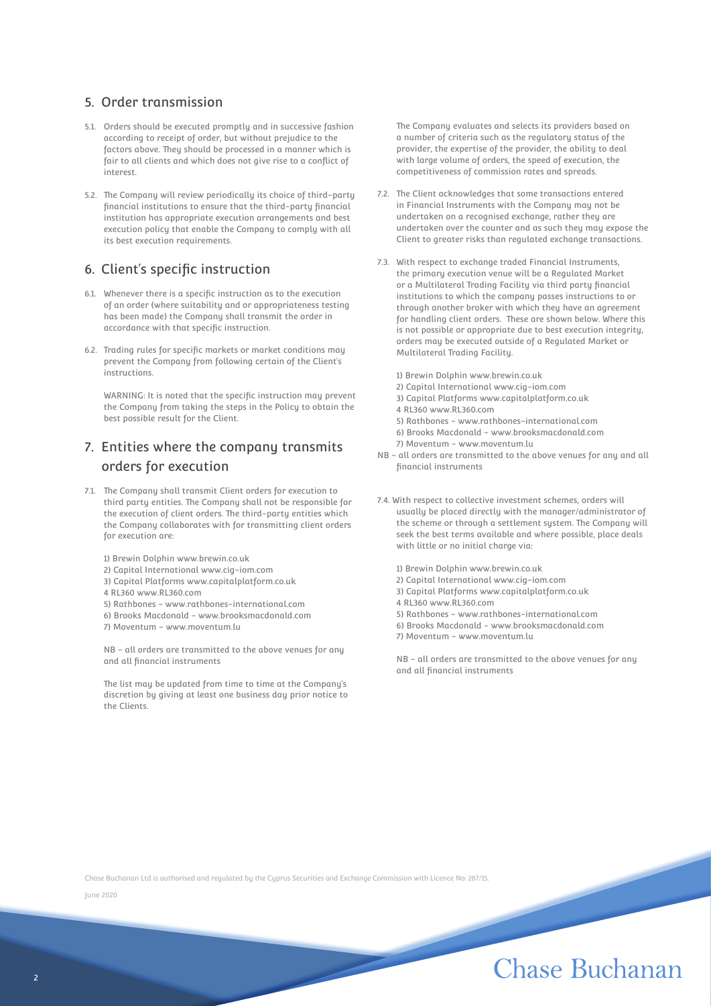# 5. Order transmission

- 5.1. Orders should be executed promptly and in successive fashion according to receipt of order, but without prejudice to the factors above. They should be processed in a manner which is fair to all clients and which does not give rise to a conflict of interest.
- 5.2. The Company will review periodically its choice of third-party financial institutions to ensure that the third-party financial institution has appropriate execution arrangements and best execution policy that enable the Company to comply with all its best execution requirements.

## 6. Client's specific instruction

- 6.1. Whenever there is a specific instruction as to the execution of an order (where suitability and or appropriateness testing has been made) the Company shall transmit the order in accordance with that specific instruction.
- 6.2. Trading rules for specific markets or market conditions may prevent the Company from following certain of the Client's instructions.

WARNING: It is noted that the specific instruction may prevent the Company from taking the steps in the Policy to obtain the best possible result for the Client.

# 7. Entities where the company transmits orders for execution

- 7.1. The Company shall transmit Client orders for execution to third party entities. The Company shall not be responsible for the execution of client orders. The third-party entities which the Company collaborates with for transmitting client orders for execution are:
	- 1) Brewin Dolphin www.brewin.co.uk
	- 2) Capital International www.cig-iom.com
	- 3) Capital Platforms www.capitalplatform.co.uk
	- 4 RL360 www.RL360.com
	- 5) Rathbones www.rathbones-international.com
	- 6) Brooks Macdonald www.brooksmacdonald.com
	- 7) Moventum www.moventum.lu

NB - all orders are transmitted to the above venues for any and all financial instruments

The list may be updated from time to time at the Company's discretion by giving at least one business day prior notice to the Clients.

The Company evaluates and selects its providers based on a number of criteria such as the regulatory status of the provider, the expertise of the provider, the ability to deal with large volume of orders, the speed of execution, the competitiveness of commission rates and spreads.

- 7.2. The Client acknowledges that some transactions entered in Financial Instruments with the Company may not be undertaken on a recognised exchange, rather they are undertaken over the counter and as such they may expose the Client to greater risks than regulated exchange transactions.
- 7.3. With respect to exchange traded Financial Instruments, the primary execution venue will be a Regulated Market or a Multilateral Trading Facility via third party financial institutions to which the company passes instructions to or through another broker with which they have an agreement for handling client orders. These are shown below. Where this is not possible or appropriate due to best execution integrity, orders may be executed outside of a Regulated Market or Multilateral Trading Facility.
	- 1) Brewin Dolphin www.brewin.co.uk
	- 2) Capital International www.cig-iom.com
	- 3) Capital Platforms www.capitalplatform.co.uk
	- 4 RL360 www.RL360.com
	- 5) Rathbones www.rathbones-international.com
	- 6) Brooks Macdonald www.brooksmacdonald.com
	- 7) Moventum www.moventum.lu
- NB all orders are transmitted to the above venues for any and all financial instruments
- 7.4. With respect to collective investment schemes, orders will usually be placed directly with the manager/administrator of the scheme or through a settlement system. The Company will seek the best terms available and where possible, place deals with little or no initial charge via:
	- 1) Brewin Dolphin www.brewin.co.uk
	- 2) Capital International www.cig-iom.com
	- 3) Capital Platforms www.capitalplatform.co.uk
	- 4 RL360 www.RL360.com

- 5) Rathbones www.rathbones-international.com
- 6) Brooks Macdonald www.brooksmacdonald.com
- 7) Moventum www.moventum.lu

NB - all orders are transmitted to the above venues for any and all financial instruments

Chase Buchanan Ltd is authorised and regulated by the Cyprus Securities and Exchange Commission with Licence No: 287/15.

June 2020

# Chase Buchanan